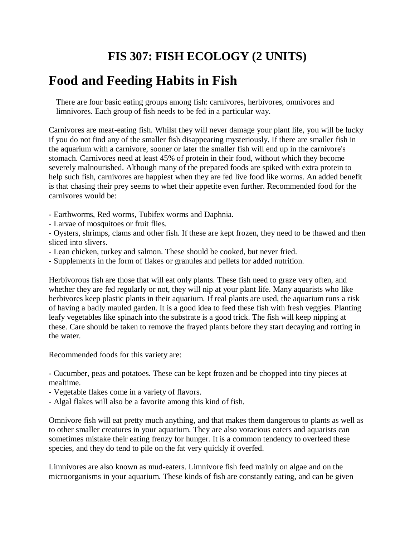## **FIS 307: FISH ECOLOGY (2 UNITS)**

# **Food and Feeding Habits in Fish**

There are four basic eating groups among fish: carnivores, herbivores, omnivores and limnivores. Each group of fish needs to be fed in a particular way.

Carnivores are meat-eating fish. Whilst they will never damage your plant life, you will be lucky if you do not find any of the smaller fish disappearing mysteriously. If there are smaller fish in the aquarium with a carnivore, sooner or later the smaller fish will end up in the carnivore's stomach. Carnivores need at least 45% of protein in their food, without which they become severely malnourished. Although many of the prepared foods are spiked with extra protein to help such fish, carnivores are happiest when they are fed live food like worms. An added benefit is that chasing their prey seems to whet their appetite even further. Recommended food for the carnivores would be:

- Earthworms, Red worms, Tubifex worms and Daphnia.
- Larvae of mosquitoes or fruit flies.

- Oysters, shrimps, clams and other fish. If these are kept frozen, they need to be thawed and then sliced into slivers.

- Lean chicken, turkey and salmon. These should be cooked, but never fried.
- Supplements in the form of flakes or granules and pellets for added nutrition.

Herbivorous fish are those that will eat only plants. These fish need to graze very often, and whether they are fed regularly or not, they will nip at your plant life. Many aquarists who like herbivores keep plastic plants in their aquarium. If real plants are used, the aquarium runs a risk of having a badly mauled garden. It is a good idea to feed these fish with fresh veggies. Planting leafy vegetables like spinach into the substrate is a good trick. The fish will keep nipping at these. Care should be taken to remove the frayed plants before they start decaying and rotting in the water.

Recommended foods for this variety are:

- Cucumber, peas and potatoes. These can be kept frozen and be chopped into tiny pieces at mealtime.

- Vegetable flakes come in a variety of flavors.
- Algal flakes will also be a favorite among this kind of fish.

Omnivore fish will eat pretty much anything, and that makes them dangerous to plants as well as to other smaller creatures in your aquarium. They are also voracious eaters and aquarists can sometimes mistake their eating frenzy for hunger. It is a common tendency to overfeed these species, and they do tend to pile on the fat very quickly if overfed.

Limnivores are also known as mud-eaters. Limnivore fish feed mainly on algae and on the microorganisms in your aquarium. These kinds of fish are constantly eating, and can be given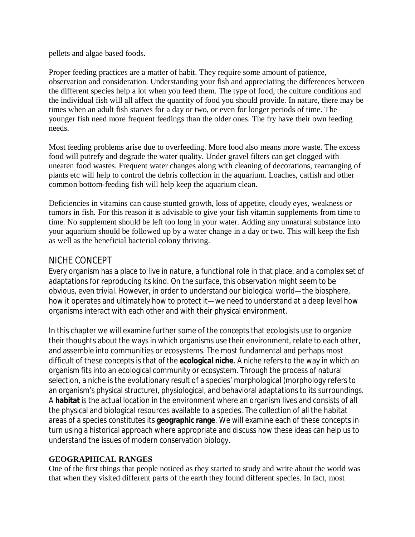pellets and algae based foods.

Proper feeding practices are a matter of habit. They require some amount of patience, observation and consideration. Understanding your fish and appreciating the differences between the different species help a lot when you feed them. The type of food, the culture conditions and the individual fish will all affect the quantity of food you should provide. In nature, there may be times when an adult fish starves for a day or two, or even for longer periods of time. The younger fish need more frequent feedings than the older ones. The fry have their own feeding needs.

Most feeding problems arise due to overfeeding. More food also means more waste. The excess food will putrefy and degrade the water quality. Under gravel filters can get clogged with uneaten food wastes. Frequent water changes along with cleaning of decorations, rearranging of plants etc will help to control the debris collection in the aquarium. Loaches, catfish and other common bottom-feeding fish will help keep the aquarium clean.

Deficiencies in vitamins can cause stunted growth, loss of appetite, cloudy eyes, weakness or tumors in fish. For this reason it is advisable to give your fish vitamin supplements from time to time. No supplement should be left too long in your water. Adding any unnatural substance into your aquarium should be followed up by a water change in a day or two. This will keep the fish as well as the beneficial bacterial colony thriving.

## NICHE CONCEPT

Every organism has a place to live in nature, a functional role in that place, and a complex set of adaptations for reproducing its kind. On the surface, this observation might seem to be obvious, even trivial. However, in order to understand our biological world—the biosphere, how it operates and ultimately how to protect it—we need to understand at a deep level how organisms interact with each other and with their physical environment.

In this chapter we will examine further some of the concepts that ecologists use to organize their thoughts about the ways in which organisms use their environment, relate to each other, and assemble into communities or ecosystems. The most fundamental and perhaps most difficult of these concepts is that of the **ecological niche**. A niche refers to the way in which an organism fits into an ecological community or ecosystem. Through the process of natural selection, a niche is the evolutionary result of a species' morphological (morphology refers to an organism's physical structure), physiological, and behavioral adaptations to its surroundings. A **habitat** is the actual location in the environment where an organism lives and consists of all the physical and biological resources available to a species. The collection of all the habitat areas of a species constitutes its **geographic range**. We will examine each of these concepts in turn using a historical approach where appropriate and discuss how these ideas can help us to understand the issues of modern conservation biology.

### **GEOGRAPHICAL RANGES**

One of the first things that people noticed as they started to study and write about the world was that when they visited different parts of the earth they found different species. In fact, most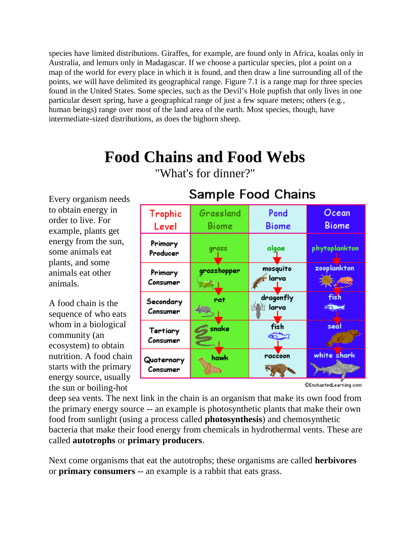species have limited distributions. Giraffes, for example, are found only in Africa, koalas only in Australia, and lemurs only in Madagascar. If we choose a particular species, plot a point on a map of the world for every place in which it is found, and then draw a line surrounding all of the points, we will have delimited its geographical range. Figure 7.1 is a range map for three species found in the United States. Some species, such as the Devil's Hole pupfish that only lives in one particular desert spring, have a geographical range of just a few square meters; others (e.g., human beings) range over most of the land area of the earth. Most species, though, have intermediate-sized distributions, as does the bighorn sheep.

# **Food Chains and Food Webs**

Every organism needs to obtain energy in order to live. For example, plants get energy from the sun, some animals eat plants, and some animals eat other animals.

A food chain is the sequence of who eats whom in a biological community (an ecosystem) to obtain nutrition. A food chain starts with the primary energy source, usually the sun or boiling-hot



**Sample Food Chains** 

## "What's for dinner?"

@EnchantedLearning.com

deep sea vents. The next link in the chain is an organism that make its own food from the primary energy source -- an example is photosynthetic plants that make their own food from sunlight (using a process called **photosynthesis**) and chemosynthetic bacteria that make their food energy from chemicals in hydrothermal vents. These are called **autotrophs** or **primary producers**.

Next come organisms that eat the autotrophs; these organisms are called **herbivores** or **primary consumers** -- an example is a rabbit that eats grass.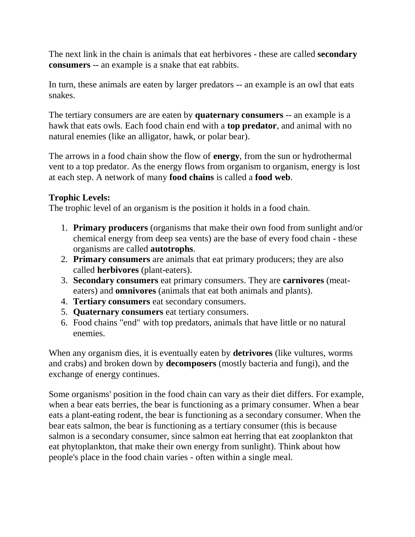The next link in the chain is animals that eat herbivores - these are called **secondary consumers** -- an example is a snake that eat rabbits.

In turn, these animals are eaten by larger predators -- an example is an owl that eats snakes.

The tertiary consumers are are eaten by **quaternary consumers** -- an example is a hawk that eats owls. Each food chain end with a **top predator**, and animal with no natural enemies (like an alligator, hawk, or polar bear).

The arrows in a food chain show the flow of **energy**, from the sun or hydrothermal vent to a top predator. As the energy flows from organism to organism, energy is lost at each step. A network of many **food chains** is called a **food web**.

## **Trophic Levels:**

The trophic level of an organism is the position it holds in a food chain.

- 1. **Primary producers** (organisms that make their own food from sunlight and/or chemical energy from deep sea vents) are the base of every food chain - these organisms are called **autotrophs**.
- 2. **Primary consumers** are animals that eat primary producers; they are also called **herbivores** (plant-eaters).
- 3. **Secondary consumers** eat primary consumers. They are **carnivores** (meateaters) and **omnivores** (animals that eat both animals and plants).
- 4. **Tertiary consumers** eat secondary consumers.
- 5. **Quaternary consumers** eat tertiary consumers.
- 6. Food chains "end" with top predators, animals that have little or no natural enemies.

When any organism dies, it is eventually eaten by **detrivores** (like vultures, worms and crabs) and broken down by **decomposers** (mostly bacteria and fungi), and the exchange of energy continues.

Some organisms' position in the food chain can vary as their diet differs. For example, when a bear eats berries, the bear is functioning as a primary consumer. When a bear eats a plant-eating rodent, the bear is functioning as a secondary consumer. When the bear eats salmon, the bear is functioning as a tertiary consumer (this is because salmon is a secondary consumer, since salmon eat herring that eat zooplankton that eat phytoplankton, that make their own energy from sunlight). Think about how people's place in the food chain varies - often within a single meal.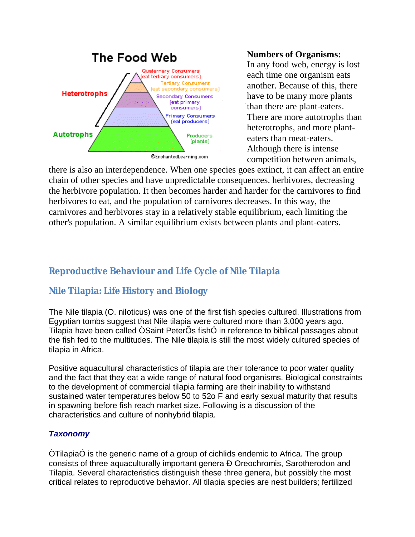

**Numbers of Organisms:**

In any food web, energy is lost each time one organism eats another. Because of this, there have to be many more plants than there are plant-eaters. There are more autotrophs than heterotrophs, and more planteaters than meat-eaters. Although there is intense competition between animals,

there is also an interdependence. When one species goes extinct, it can affect an entire chain of other species and have unpredictable consequences. herbivores, decreasing the herbivore population. It then becomes harder and harder for the carnivores to find herbivores to eat, and the population of carnivores decreases. In this way, the carnivores and herbivores stay in a relatively stable equilibrium, each limiting the other's population. A similar equilibrium exists between plants and plant-eaters.

## **Reproductive Behaviour and Life Cycle of Nile Tilapia**

## **Nile Tilapia: Life History and Biology**

The Nile tilapia (O. niloticus) was one of the first fish species cultured. Illustrations from Egyptian tombs suggest that Nile tilapia were cultured more than 3,000 years ago. Tilapia have been called ÒSaint PeterÕs fishÓ in reference to biblical passages about the fish fed to the multitudes. The Nile tilapia is still the most widely cultured species of tilapia in Africa.

Positive aquacultural characteristics of tilapia are their tolerance to poor water quality and the fact that they eat a wide range of natural food organisms. Biological constraints to the development of commercial tilapia farming are their inability to withstand sustained water temperatures below 50 to 52o F and early sexual maturity that results in spawning before fish reach market size. Following is a discussion of the characteristics and culture of nonhybrid tilapia.

## *Taxonomy*

ÒTilapiaÓ is the generic name of a group of cichlids endemic to Africa. The group consists of three aquaculturally important genera Ð Oreochromis, Sarotherodon and Tilapia. Several characteristics distinguish these three genera, but possibly the most critical relates to reproductive behavior. All tilapia species are nest builders; fertilized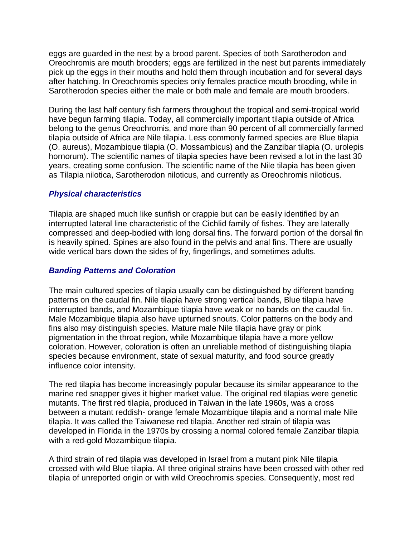eggs are guarded in the nest by a brood parent. Species of both Sarotherodon and Oreochromis are mouth brooders; eggs are fertilized in the nest but parents immediately pick up the eggs in their mouths and hold them through incubation and for several days after hatching. In Oreochromis species only females practice mouth brooding, while in Sarotherodon species either the male or both male and female are mouth brooders.

During the last half century fish farmers throughout the tropical and semi-tropical world have begun farming tilapia. Today, all commercially important tilapia outside of Africa belong to the genus Oreochromis, and more than 90 percent of all commercially farmed tilapia outside of Africa are Nile tilapia. Less commonly farmed species are Blue tilapia (O. aureus), Mozambique tilapia (O. Mossambicus) and the Zanzibar tilapia (O. urolepis hornorum). The scientific names of tilapia species have been revised a lot in the last 30 years, creating some confusion. The scientific name of the Nile tilapia has been given as Tilapia nilotica, Sarotherodon niloticus, and currently as Oreochromis niloticus.

#### *Physical characteristics*

Tilapia are shaped much like sunfish or crappie but can be easily identified by an interrupted lateral line characteristic of the Cichlid family of fishes. They are laterally compressed and deep-bodied with long dorsal fins. The forward portion of the dorsal fin is heavily spined. Spines are also found in the pelvis and anal fins. There are usually wide vertical bars down the sides of fry, fingerlings, and sometimes adults.

#### *Banding Patterns and Coloration*

The main cultured species of tilapia usually can be distinguished by different banding patterns on the caudal fin. Nile tilapia have strong vertical bands, Blue tilapia have interrupted bands, and Mozambique tilapia have weak or no bands on the caudal fin. Male Mozambique tilapia also have upturned snouts. Color patterns on the body and fins also may distinguish species. Mature male Nile tilapia have gray or pink pigmentation in the throat region, while Mozambique tilapia have a more yellow coloration. However, coloration is often an unreliable method of distinguishing tilapia species because environment, state of sexual maturity, and food source greatly influence color intensity.

The red tilapia has become increasingly popular because its similar appearance to the marine red snapper gives it higher market value. The original red tilapias were genetic mutants. The first red tilapia, produced in Taiwan in the late 1960s, was a cross between a mutant reddish- orange female Mozambique tilapia and a normal male Nile tilapia. It was called the Taiwanese red tilapia. Another red strain of tilapia was developed in Florida in the 1970s by crossing a normal colored female Zanzibar tilapia with a red-gold Mozambique tilapia.

A third strain of red tilapia was developed in Israel from a mutant pink Nile tilapia crossed with wild Blue tilapia. All three original strains have been crossed with other red tilapia of unreported origin or with wild Oreochromis species. Consequently, most red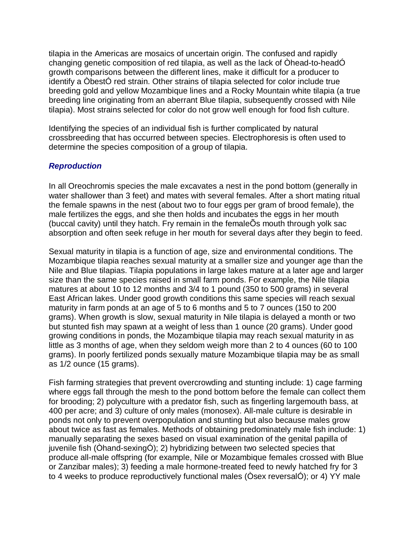tilapia in the Americas are mosaics of uncertain origin. The confused and rapidly changing genetic composition of red tilapia, as well as the lack of Òhead-to-headÓ growth comparisons between the different lines, make it difficult for a producer to identify a ÒbestÓ red strain. Other strains of tilapia selected for color include true breeding gold and yellow Mozambique lines and a Rocky Mountain white tilapia (a true breeding line originating from an aberrant Blue tilapia, subsequently crossed with Nile tilapia). Most strains selected for color do not grow well enough for food fish culture.

Identifying the species of an individual fish is further complicated by natural crossbreeding that has occurred between species. Electrophoresis is often used to determine the species composition of a group of tilapia.

#### *Reproduction*

In all Oreochromis species the male excavates a nest in the pond bottom (generally in water shallower than 3 feet) and mates with several females. After a short mating ritual the female spawns in the nest (about two to four eggs per gram of brood female), the male fertilizes the eggs, and she then holds and incubates the eggs in her mouth (buccal cavity) until they hatch. Fry remain in the femaleÕs mouth through yolk sac absorption and often seek refuge in her mouth for several days after they begin to feed.

Sexual maturity in tilapia is a function of age, size and environmental conditions. The Mozambique tilapia reaches sexual maturity at a smaller size and younger age than the Nile and Blue tilapias. Tilapia populations in large lakes mature at a later age and larger size than the same species raised in small farm ponds. For example, the Nile tilapia matures at about 10 to 12 months and 3/4 to 1 pound (350 to 500 grams) in several East African lakes. Under good growth conditions this same species will reach sexual maturity in farm ponds at an age of 5 to 6 months and 5 to 7 ounces (150 to 200 grams). When growth is slow, sexual maturity in Nile tilapia is delayed a month or two but stunted fish may spawn at a weight of less than 1 ounce (20 grams). Under good growing conditions in ponds, the Mozambique tilapia may reach sexual maturity in as little as 3 months of age, when they seldom weigh more than 2 to 4 ounces (60 to 100 grams). In poorly fertilized ponds sexually mature Mozambique tilapia may be as small as 1/2 ounce (15 grams).

Fish farming strategies that prevent overcrowding and stunting include: 1) cage farming where eggs fall through the mesh to the pond bottom before the female can collect them for brooding; 2) polyculture with a predator fish, such as fingerling largemouth bass, at 400 per acre; and 3) culture of only males (monosex). All-male culture is desirable in ponds not only to prevent overpopulation and stunting but also because males grow about twice as fast as females. Methods of obtaining predominately male fish include: 1) manually separating the sexes based on visual examination of the genital papilla of juvenile fish (Òhand-sexingÓ); 2) hybridizing between two selected species that produce all-male offspring (for example, Nile or Mozambique females crossed with Blue or Zanzibar males); 3) feeding a male hormone-treated feed to newly hatched fry for 3 to 4 weeks to produce reproductively functional males (Òsex reversalÓ); or 4) YY male